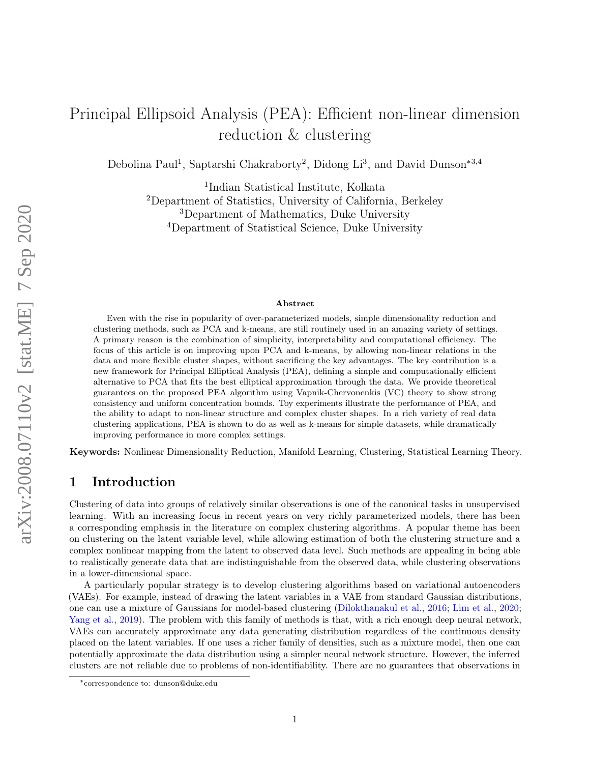# Principal Ellipsoid Analysis (PEA): Efficient non-linear dimension reduction & clustering

Debolina Paul<sup>1</sup>, Saptarshi Chakraborty<sup>2</sup>, Didong Li<sup>3</sup>, and David Dunson<sup>\*3,4</sup>

 Indian Statistical Institute, Kolkata Department of Statistics, University of California, Berkeley Department of Mathematics, Duke University Department of Statistical Science, Duke University

#### Abstract

Even with the rise in popularity of over-parameterized models, simple dimensionality reduction and clustering methods, such as PCA and k-means, are still routinely used in an amazing variety of settings. A primary reason is the combination of simplicity, interpretability and computational efficiency. The focus of this article is on improving upon PCA and k-means, by allowing non-linear relations in the data and more flexible cluster shapes, without sacrificing the key advantages. The key contribution is a new framework for Principal Elliptical Analysis (PEA), defining a simple and computationally efficient alternative to PCA that fits the best elliptical approximation through the data. We provide theoretical guarantees on the proposed PEA algorithm using Vapnik-Chervonenkis (VC) theory to show strong consistency and uniform concentration bounds. Toy experiments illustrate the performance of PEA, and the ability to adapt to non-linear structure and complex cluster shapes. In a rich variety of real data clustering applications, PEA is shown to do as well as k-means for simple datasets, while dramatically improving performance in more complex settings.

Keywords: Nonlinear Dimensionality Reduction, Manifold Learning, Clustering, Statistical Learning Theory.

### 1 Introduction

Clustering of data into groups of relatively similar observations is one of the canonical tasks in unsupervised learning. With an increasing focus in recent years on very richly parameterized models, there has been a corresponding emphasis in the literature on complex clustering algorithms. A popular theme has been on clustering on the latent variable level, while allowing estimation of both the clustering structure and a complex nonlinear mapping from the latent to observed data level. Such methods are appealing in being able to realistically generate data that are indistinguishable from the observed data, while clustering observations in a lower-dimensional space.

A particularly popular strategy is to develop clustering algorithms based on variational autoencoders (VAEs). For example, instead of drawing the latent variables in a VAE from standard Gaussian distributions, one can use a mixture of Gaussians for model-based clustering [\(Dilokthanakul et al.,](#page-10-0) [2016;](#page-10-0) [Lim et al.,](#page-10-1) [2020;](#page-10-1) [Yang et al.,](#page-11-0) [2019\)](#page-11-0). The problem with this family of methods is that, with a rich enough deep neural network, VAEs can accurately approximate any data generating distribution regardless of the continuous density placed on the latent variables. If one uses a richer family of densities, such as a mixture model, then one can potentially approximate the data distribution using a simpler neural network structure. However, the inferred clusters are not reliable due to problems of non-identifiability. There are no guarantees that observations in

<sup>∗</sup>correspondence to: dunson@duke.edu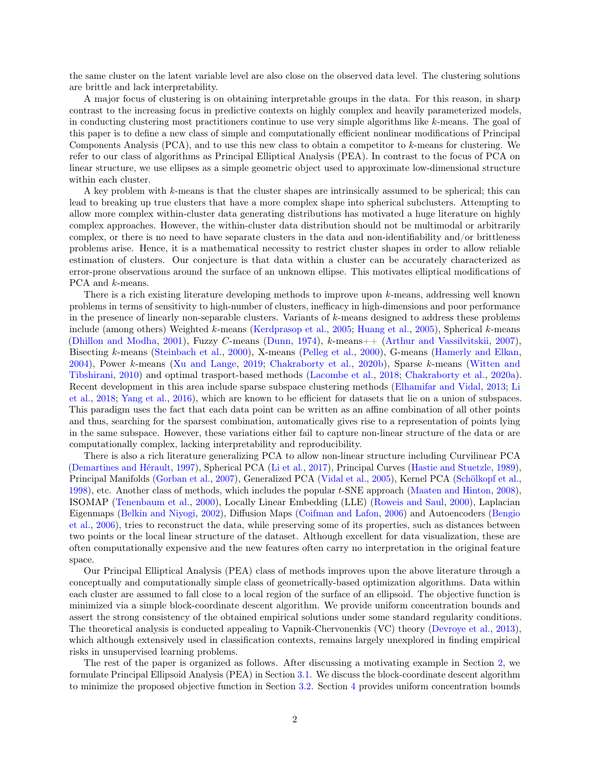the same cluster on the latent variable level are also close on the observed data level. The clustering solutions are brittle and lack interpretability.

A major focus of clustering is on obtaining interpretable groups in the data. For this reason, in sharp contrast to the increasing focus in predictive contexts on highly complex and heavily parameterized models, in conducting clustering most practitioners continue to use very simple algorithms like k-means. The goal of this paper is to define a new class of simple and computationally efficient nonlinear modifications of Principal Components Analysis (PCA), and to use this new class to obtain a competitor to k-means for clustering. We refer to our class of algorithms as Principal Elliptical Analysis (PEA). In contrast to the focus of PCA on linear structure, we use ellipses as a simple geometric object used to approximate low-dimensional structure within each cluster.

A key problem with k-means is that the cluster shapes are intrinsically assumed to be spherical; this can lead to breaking up true clusters that have a more complex shape into spherical subclusters. Attempting to allow more complex within-cluster data generating distributions has motivated a huge literature on highly complex approaches. However, the within-cluster data distribution should not be multimodal or arbitrarily complex, or there is no need to have separate clusters in the data and non-identifiability and/or brittleness problems arise. Hence, it is a mathematical necessity to restrict cluster shapes in order to allow reliable estimation of clusters. Our conjecture is that data within a cluster can be accurately characterized as error-prone observations around the surface of an unknown ellipse. This motivates elliptical modifications of PCA and *k*-means.

There is a rich existing literature developing methods to improve upon k-means, addressing well known problems in terms of sensitivity to high-number of clusters, inefficacy in high-dimensions and poor performance in the presence of linearly non-separable clusters. Variants of  $k$ -means designed to address these problems include (among others) Weighted k-means [\(Kerdprasop et al.,](#page-10-2) [2005;](#page-10-2) [Huang et al.,](#page-10-3) [2005\)](#page-10-3), Spherical k-means [\(Dhillon and Modha,](#page-9-0) [2001\)](#page-9-0), Fuzzy C-means [\(Dunn,](#page-10-4) [1974\)](#page-10-4), k-means++ [\(Arthur and Vassilvitskii,](#page-9-1) [2007\)](#page-9-1), Bisecting k-means [\(Steinbach et al.,](#page-11-1) [2000\)](#page-11-1), X-means [\(Pelleg et al.,](#page-10-5) [2000\)](#page-10-5), G-means [\(Hamerly and Elkan,](#page-10-6) [2004\)](#page-10-6), Power k-means [\(Xu and Lange,](#page-11-2) [2019;](#page-11-2) [Chakraborty et al.,](#page-9-2) [2020b\)](#page-9-2), Sparse k-means [\(Witten and](#page-11-3) [Tibshirani,](#page-11-3) [2010\)](#page-11-3) and optimal trasport-based methods [\(Lacombe et al.,](#page-10-7) [2018;](#page-10-7) [Chakraborty et al.,](#page-9-3) [2020a\)](#page-9-3). Recent development in this area include sparse subspace clustering methods [\(Elhamifar and Vidal,](#page-10-8) [2013;](#page-10-8) [Li](#page-10-9) [et al.,](#page-10-9) [2018;](#page-10-9) [Yang et al.,](#page-11-4) [2016\)](#page-11-4), which are known to be efficient for datasets that lie on a union of subspaces. This paradigm uses the fact that each data point can be written as an affine combination of all other points and thus, searching for the sparsest combination, automatically gives rise to a representation of points lying in the same subspace. However, these variations either fail to capture non-linear structure of the data or are computationally complex, lacking interpretability and reproducibility.

There is also a rich literature generalizing PCA to allow non-linear structure including Curvilinear PCA [\(Demartines and Hérault,](#page-9-4) [1997\)](#page-9-4), Spherical PCA [\(Li et al.,](#page-10-10) [2017\)](#page-10-10), Principal Curves [\(Hastie and Stuetzle,](#page-10-11) [1989\)](#page-10-11), Principal Manifolds [\(Gorban et al.,](#page-10-12) [2007\)](#page-10-12), Generalized PCA [\(Vidal et al.,](#page-11-5) [2005\)](#page-11-5), Kernel PCA [\(Schölkopf et al.,](#page-11-6) [1998\)](#page-11-6), etc. Another class of methods, which includes the popular t-SNE approach [\(Maaten and Hinton,](#page-10-13) [2008\)](#page-10-13), ISOMAP [\(Tenenbaum et al.,](#page-11-7) [2000\)](#page-11-7), Locally Linear Embedding (LLE) [\(Roweis and Saul,](#page-10-14) [2000\)](#page-10-14), Laplacian Eigenmaps [\(Belkin and Niyogi,](#page-9-5) [2002\)](#page-9-5), Diffusion Maps [\(Coifman and Lafon,](#page-9-6) [2006\)](#page-9-6) and Autoencoders [\(Bengio](#page-9-7) [et al.,](#page-9-7) [2006\)](#page-9-7), tries to reconstruct the data, while preserving some of its properties, such as distances between two points or the local linear structure of the dataset. Although excellent for data visualization, these are often computationally expensive and the new features often carry no interpretation in the original feature space.

Our Principal Elliptical Analysis (PEA) class of methods improves upon the above literature through a conceptually and computationally simple class of geometrically-based optimization algorithms. Data within each cluster are assumed to fall close to a local region of the surface of an ellipsoid. The objective function is minimized via a simple block-coordinate descent algorithm. We provide uniform concentration bounds and assert the strong consistency of the obtained empirical solutions under some standard regularity conditions. The theoretical analysis is conducted appealing to Vapnik-Chervonenkis (VC) theory [\(Devroye et al.,](#page-9-8) [2013\)](#page-9-8), which although extensively used in classification contexts, remains largely unexplored in finding empirical risks in unsupervised learning problems.

The rest of the paper is organized as follows. After discussing a motivating example in Section [2,](#page-2-0) we formulate Principal Ellipsoid Analysis (PEA) in Section [3.1.](#page-3-0) We discuss the block-coordinate descent algorithm to minimize the proposed objective function in Section [3.2.](#page-3-1) Section [4](#page-4-0) provides uniform concentration bounds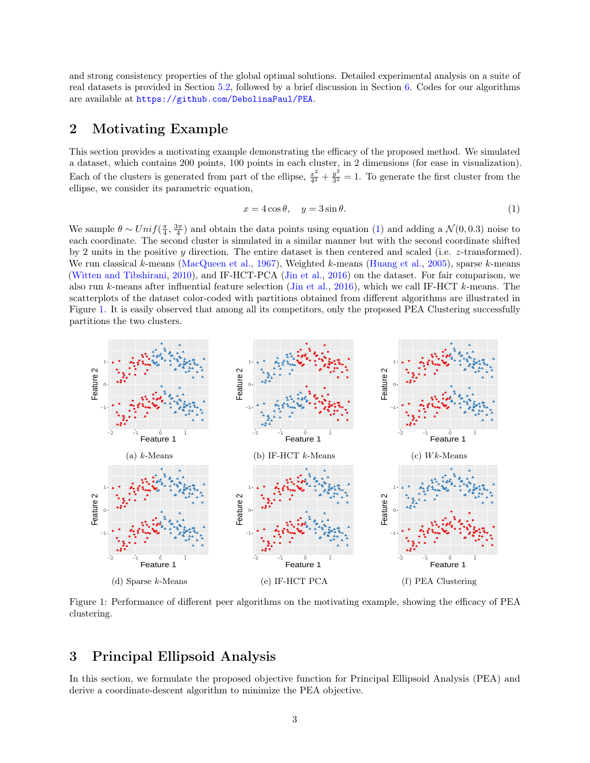and strong consistency properties of the global optimal solutions. Detailed experimental analysis on a suite of real datasets is provided in Section [5.2,](#page-8-0) followed by a brief discussion in Section [6.](#page-9-9) Codes for our algorithms are available at <https://github.com/DebolinaPaul/PEA>.

### <span id="page-2-0"></span>2 Motivating Example

This section provides a motivating example demonstrating the efficacy of the proposed method. We simulated a dataset, which contains 200 points, 100 points in each cluster, in 2 dimensions (for ease in visualization). Each of the clusters is generated from part of the ellipse,  $\frac{x^2}{4^2}$  $rac{x^2}{4^2} + \frac{y^2}{3^2}$  $\frac{y^2}{3^2} = 1$ . To generate the first cluster from the ellipse, we consider its parametric equation,

<span id="page-2-1"></span>
$$
x = 4\cos\theta, \quad y = 3\sin\theta. \tag{1}
$$

We sample  $\theta \sim Unif(\frac{\pi}{4},\frac{3\pi}{4})$  and obtain the data points using equation [\(1\)](#page-2-1) and adding a  $\mathcal{N}(0,0.3)$  noise to each coordinate. The second cluster is simulated in a similar manner but with the second coordinate shifted by 2 units in the positive y direction. The entire dataset is then centered and scaled (i.e. z-transformed). We run classical k-means [\(MacQueen et al.,](#page-10-15) [1967\)](#page-10-15), Weighted k-means [\(Huang et al.,](#page-10-3) [2005\)](#page-10-3), sparse k-means [\(Witten and Tibshirani,](#page-11-3) [2010\)](#page-11-3), and IF-HCT-PCA [\(Jin et al.,](#page-10-16) [2016\)](#page-10-16) on the dataset. For fair comparison, we also run k-means after influential feature selection [\(Jin et al.,](#page-10-16) [2016\)](#page-10-16), which we call IF-HCT k-means. The scatterplots of the dataset color-coded with partitions obtained from different algorithms are illustrated in Figure [1.](#page-2-2) It is easily observed that among all its competitors, only the proposed PEA Clustering successfully partitions the two clusters.

<span id="page-2-2"></span>

Figure 1: Performance of different peer algorithms on the motivating example, showing the efficacy of PEA clustering.

## 3 Principal Ellipsoid Analysis

In this section, we formulate the proposed objective function for Principal Ellipsoid Analysis (PEA) and derive a coordinate-descent algorithm to minimize the PEA objective.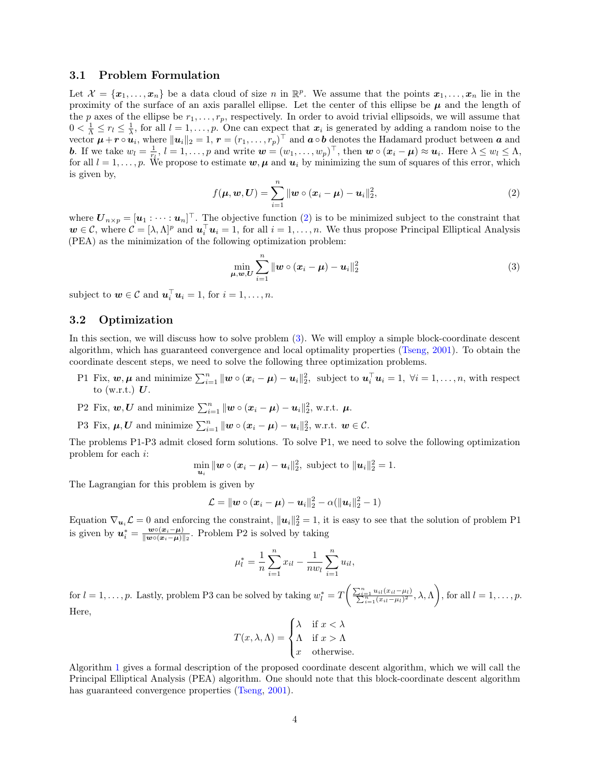#### <span id="page-3-0"></span>3.1 Problem Formulation

Let  $\mathcal{X} = \{x_1, \ldots, x_n\}$  be a data cloud of size n in  $\mathbb{R}^p$ . We assume that the points  $x_1, \ldots, x_n$  lie in the proximity of the surface of an axis parallel ellipse. Let the center of this ellipse be  $\mu$  and the length of the p axes of the ellipse be  $r_1, \ldots, r_p$ , respectively. In order to avoid trivial ellipsoids, we will assume that  $0 < \frac{1}{\Lambda} \leq r_l \leq \frac{1}{\lambda}$ , for all  $l = 1, \ldots, p$ . One can expect that  $x_i$  is generated by adding a random noise to the vector  $\mu + r \circ \hat{u_i}$ , where  $\|u_i\|_2 = 1$ ,  $r = (r_1, \ldots, r_p)^\top$  and  $a \circ b$  denotes the Hadamard product between  $a$  and **b.** If we take  $w_l = \frac{1}{r_l}, l = 1, \ldots, p$  and write  $\mathbf{w} = (w_1, \ldots, w_p)^\top$ , then  $\mathbf{w} \circ (\mathbf{x}_i - \boldsymbol{\mu}) \approx \mathbf{u}_i$ . Here  $\lambda \leq w_l \leq \Lambda$ , for all  $l = 1, \ldots, p$ . We propose to estimate  $w, \mu$  and  $u_i$  by minimizing the sum of squares of this error, which is given by,

$$
f(\mu, w, U) = \sum_{i=1}^{n} ||w \circ (x_i - \mu) - u_i||_2^2,
$$
 (2)

<span id="page-3-2"></span>where  $\boldsymbol{U}_{n\times p}=[\boldsymbol{u}_1:\cdots:\boldsymbol{u}_n]^\top$ . The objective function [\(2\)](#page-3-2) is to be minimized subject to the constraint that  $w \in \mathcal{C}$ , where  $\mathcal{C} = [\lambda, \Lambda]^p$  and  $\mathbf{u}_i^{\top} \mathbf{u}_i = 1$ , for all  $i = 1, \ldots, n$ . We thus propose Principal Elliptical Analysis (PEA) as the minimization of the following optimization problem:

<span id="page-3-3"></span>
$$
\min_{\boldsymbol{\mu},\boldsymbol{w},\boldsymbol{U}}\sum_{i=1}^{n}\|\boldsymbol{w}\circ(\boldsymbol{x}_i-\boldsymbol{\mu})-\boldsymbol{u}_i\|_2^2
$$
\n(3)

subject to  $\mathbf{w} \in \mathcal{C}$  and  $\mathbf{u}_i^{\top} \mathbf{u}_i = 1$ , for  $i = 1, \ldots, n$ .

#### <span id="page-3-1"></span>3.2 Optimization

In this section, we will discuss how to solve problem [\(3\)](#page-3-3). We will employ a simple block-coordinate descent algorithm, which has guaranteed convergence and local optimality properties [\(Tseng,](#page-11-8) [2001\)](#page-11-8). To obtain the coordinate descent steps, we need to solve the following three optimization problems.

- P1 Fix,  $w, \mu$  and minimize  $\sum_{i=1}^{n} ||w \circ (x_i \mu) u_i||_2^2$ , subject to  $u_i^{\top} u_i = 1, \forall i = 1, ..., n$ , with respect to (w.r.t.)  $U$ .
- P2 Fix,  $w, U$  and minimize  $\sum_{i=1}^{n} ||w \circ (x_i \mu) u_i||_2^2$ , w.r.t.  $\mu$ .
- P3 Fix,  $\mu, U$  and minimize  $\sum_{i=1}^{n} ||w \circ (x_i \mu) u_i||_2^2$ , w.r.t.  $w \in \mathcal{C}$ .

The problems P1-P3 admit closed form solutions. To solve P1, we need to solve the following optimization problem for each i:

$$
\min_{\boldsymbol{u}_i} \|\boldsymbol{w} \circ (\boldsymbol{x}_i - \boldsymbol{\mu}) - \boldsymbol{u}_i\|_2^2, \text{ subject to } \|\boldsymbol{u}_i\|_2^2 = 1.
$$

The Lagrangian for this problem is given by

$$
\mathcal{L} = ||\mathbf{w} \circ (\mathbf{x}_i - \mathbf{\mu}) - \mathbf{u}_i||_2^2 - \alpha(||\mathbf{u}_i||_2^2 - 1)
$$

Equation  $\nabla_{u_i} \mathcal{L} = 0$  and enforcing the constraint,  $||u_i||_2^2 = 1$ , it is easy to see that the solution of problem P1 is given by  $u_i^* = \frac{w \circ (x_i - \mu)}{\| w \circ (x_i - \mu) \|}$  $\frac{\mathbf{w} \circ (\mathbf{x}_i - \boldsymbol{\mu})}{\|\mathbf{w} \circ (\mathbf{x}_i - \boldsymbol{\mu})\|_2}$ . Problem P2 is solved by taking

$$
\mu_l^* = \frac{1}{n} \sum_{i=1}^n x_{il} - \frac{1}{nw_l} \sum_{i=1}^n u_{il},
$$

for  $l = 1, \ldots, p$ . Lastly, problem P3 can be solved by taking  $w_l^* = T\left(\frac{\sum_{i=1}^n u_{il}(x_{il}-\mu_l)}{\sum_{i=1}^n (x_{il}-\mu_l)^2}, \lambda, \Lambda\right)$ , for all  $l = 1, \ldots, p$ . Here,

$$
T(x, \lambda, \Lambda) = \begin{cases} \lambda & \text{if } x < \lambda \\ \Lambda & \text{if } x > \Lambda \\ x & \text{otherwise.} \end{cases}
$$

Algorithm [1](#page-4-1) gives a formal description of the proposed coordinate descent algorithm, which we will call the Principal Elliptical Analysis (PEA) algorithm. One should note that this block-coordinate descent algorithm has guaranteed convergence properties [\(Tseng,](#page-11-8) [2001\)](#page-11-8).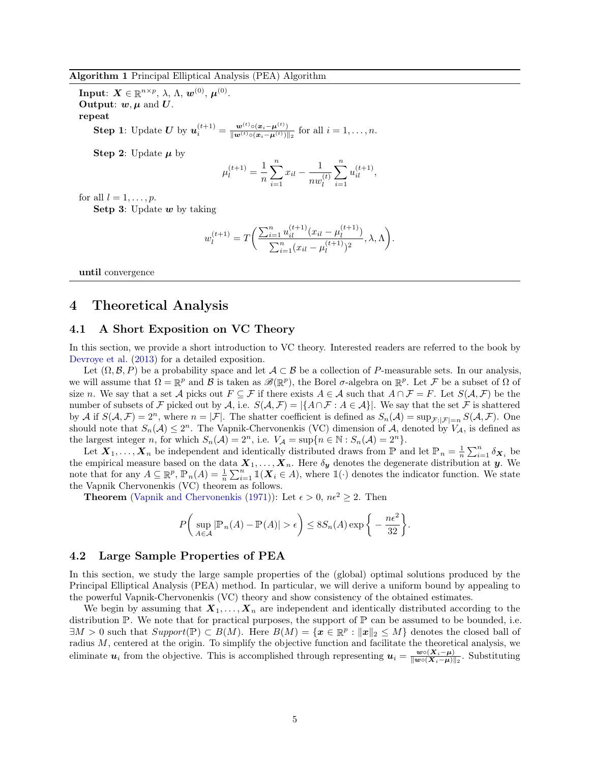<span id="page-4-1"></span>Algorithm 1 Principal Elliptical Analysis (PEA) Algorithm

 $\textbf{Input: } \bm{X} \in \mathbb{R}^{n \times p}, \, \lambda, \, \Lambda, \, \bm{w}^{(0)}, \, \bm{\mu}^{(0)}.$ **Output:**  $w, \mu$  and  $U$ . repeat

> **Step 1**: Update U by  $u_i^{(t+1)} = \frac{w^{(t)} \circ (x_i - \mu^{(t)})}{\|w^{(t)} \circ (x_i - \mu^{(t)})\|}$  $\frac{\mathbf{w}^{\phi}\circ(\mathbf{x}_i-\mathbf{\mu}^{\phi})}{\|\mathbf{w}^{(t)}\circ(\mathbf{x}_i-\mathbf{\mu}^{(t)})\|_2}$  for all  $i=1,\ldots,n$ .

Step 2: Update  $\mu$  by

$$
\mu_l^{(t+1)} = \frac{1}{n} \sum_{i=1}^n x_{il} - \frac{1}{nw_l^{(t)}} \sum_{i=1}^n u_{il}^{(t+1)},
$$

for all  $l = 1, \ldots, p$ .

Setp 3: Update  $w$  by taking

$$
w_l^{(t+1)} = T\bigg(\frac{\sum_{i=1}^n u_{il}^{(t+1)}(x_{il} - \mu_l^{(t+1)})}{\sum_{i=1}^n (x_{il} - \mu_l^{(t+1)})^2}, \lambda, \Lambda\bigg).
$$

until convergence

### <span id="page-4-0"></span>4 Theoretical Analysis

#### 4.1 A Short Exposition on VC Theory

In this section, we provide a short introduction to VC theory. Interested readers are referred to the book by [Devroye et al.](#page-9-8) [\(2013\)](#page-9-8) for a detailed exposition.

Let  $(\Omega, \mathcal{B}, P)$  be a probability space and let  $\mathcal{A} \subset \mathcal{B}$  be a collection of P-measurable sets. In our analysis, we will assume that  $\Omega = \mathbb{R}^p$  and  $\mathcal{B}$  is taken as  $\mathscr{B}(\mathbb{R}^p)$ , the Borel  $\sigma$ -algebra on  $\mathbb{R}^p$ . Let  $\mathcal{F}$  be a subset of  $\Omega$  of size n. We say that a set A picks out  $F \subseteq \mathcal{F}$  if there exists  $A \in \mathcal{A}$  such that  $A \cap \mathcal{F} = F$ . Let  $S(\mathcal{A}, \mathcal{F})$  be the number of subsets of F picked out by A, i.e.  $S(\mathcal{A}, \mathcal{F}) = |\{A \cap \mathcal{F} : A \in \mathcal{A}\}|$ . We say that the set F is shattered by A if  $S(\mathcal{A}, \mathcal{F}) = 2^n$ , where  $n = |\mathcal{F}|$ . The shatter coefficient is defined as  $S_n(\mathcal{A}) = \sup_{\mathcal{F}: |\mathcal{F}| = n} S(\mathcal{A}, \mathcal{F})$ . One should note that  $S_n(\mathcal{A}) \leq 2^n$ . The Vapnik-Chervonenkis (VC) dimension of  $\mathcal{A}$ , denoted by  $V_{\mathcal{A}}$ , is defined as the largest integer n, for which  $S_n(\mathcal{A}) = 2^n$ , i.e.  $V_{\mathcal{A}} = \sup\{n \in \mathbb{N} : S_n(\mathcal{A}) = 2^n\}.$ 

Let  $X_1, \ldots, X_n$  be independent and identically distributed draws from P and let  $\mathbb{P}_n = \frac{1}{n} \sum_{i=1}^n \delta_{X_i}$  be the empirical measure based on the data  $X_1, \ldots, X_n$ . Here  $\delta_y$  denotes the degenerate distribution at y. We note that for any  $A \subseteq \mathbb{R}^p$ ,  $\mathbb{P}_n(A) = \frac{1}{n} \sum_{i=1}^n \mathbb{1}(\mathbf{X}_i \in A)$ , where  $\mathbb{1}(\cdot)$  denotes the indicator function. We state the Vapnik Chervonenkis (VC) theorem as follows.

**Theorem** [\(Vapnik and Chervonenkis](#page-11-9) [\(1971\)](#page-11-9)): Let  $\epsilon > 0$ ,  $n\epsilon^2 \geq 2$ . Then

$$
P\left(\sup_{A\in\mathcal{A}}|\mathbb{P}_n(A)-\mathbb{P}(A)|>\epsilon\right)\leq 8S_n(A)\exp\bigg\{-\frac{n\epsilon^2}{32}\bigg\}.
$$

#### 4.2 Large Sample Properties of PEA

In this section, we study the large sample properties of the (global) optimal solutions produced by the Principal Elliptical Analysis (PEA) method. In particular, we will derive a uniform bound by appealing to the powerful Vapnik-Chervonenkis (VC) theory and show consistency of the obtained estimates.

We begin by assuming that  $X_1, \ldots, X_n$  are independent and identically distributed according to the distribution  $\mathbb P$ . We note that for practical purposes, the support of  $\mathbb P$  can be assumed to be bounded, i.e.  $\exists M > 0$  such that  $Support(\mathbb{P}) \subset B(M)$ . Here  $B(M) = \{x \in \mathbb{R}^p : ||x||_2 \leq M\}$  denotes the closed ball of radius  $M$ , centered at the origin. To simplify the objective function and facilitate the theoretical analysis, we eliminate  $u_i$  from the objective. This is accomplished through representing  $u_i = \frac{w \circ (X_i - \mu)}{||w \circ (X_i - \mu)||}$  $\frac{\mathbf{w} \circ (\mathbf{X}_i - \boldsymbol{\mu})}{\|\mathbf{w} \circ (\mathbf{X}_i - \boldsymbol{\mu})\|_2}$ . Substituting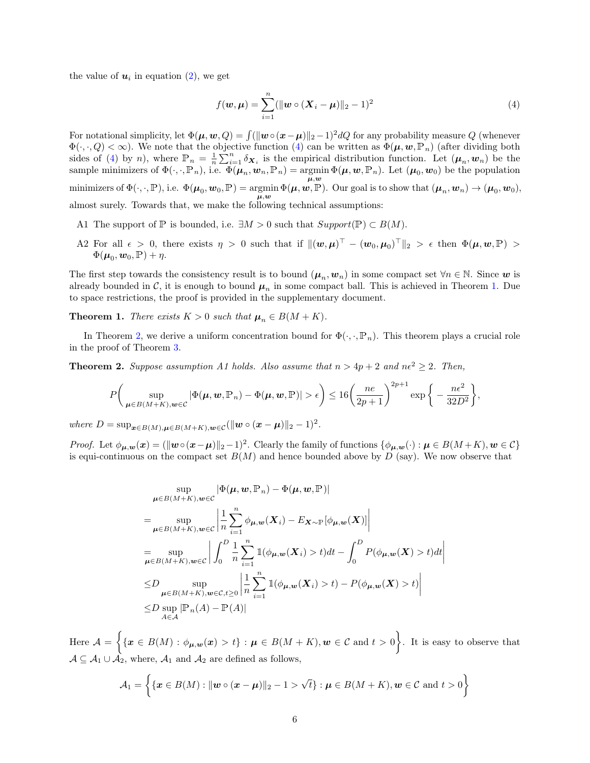the value of  $u_i$  in equation [\(2\)](#page-3-2), we get

<span id="page-5-0"></span>
$$
f(\mathbf{w}, \mathbf{\mu}) = \sum_{i=1}^{n} (||\mathbf{w} \circ (\mathbf{X}_i - \mathbf{\mu})||_2 - 1)^2
$$
 (4)

For notational simplicity, let  $\Phi(\mu, w, Q) = \int (||w \circ (x - \mu)||_2 - 1)^2 dQ$  for any probability measure Q (whenever  $\Phi(\cdot,\cdot,Q) < \infty$ ). We note that the objective function [\(4\)](#page-5-0) can be written as  $\Phi(\mu, w, \mathbb{P}_n)$  (after dividing both sides of [\(4\)](#page-5-0) by n), where  $\mathbb{P}_n = \frac{1}{n} \sum_{i=1}^n \delta_{\mathbf{X}_i}$  is the empirical distribution function. Let  $(\mu_n, w_n)$  be the sample minimizers of  $\Phi(\cdot, \cdot, \mathbb{P}_n)$ , i.e.  $\Phi(\mu_n, \boldsymbol{w}_n, \mathbb{P}_n) = \operatorname*{argmin}_{\boldsymbol{\mu}, \boldsymbol{w}} \Phi(\mu, \boldsymbol{w}, \mathbb{P}_n)$ . Let  $(\mu_0, \boldsymbol{w}_0)$  be the population minimizers of  $\Phi(\cdot,\cdot,\mathbb{P})$ , i.e.  $\Phi(\boldsymbol{\mu}_0,\boldsymbol{w}_0,\mathbb{P}) = \arg\min \Phi(\boldsymbol{\mu},\boldsymbol{w},\mathbb{P})$ . Our goal is to show that  $(\boldsymbol{\mu}_n,\boldsymbol{w}_n) \to (\boldsymbol{\mu}_0,\boldsymbol{w}_0)$ ,  $\mu, w$ almost surely. Towards that, we make the following technical assumptions:

- A1 The support of P is bounded, i.e.  $\exists M > 0$  such that  $Support(\mathbb{P}) \subset B(M)$ .
- A2 For all  $\epsilon > 0$ , there exists  $\eta > 0$  such that if  $\|(\boldsymbol{w}, \boldsymbol{\mu})^{\top} (\boldsymbol{w}_0, \boldsymbol{\mu}_0)^{\top}\|_2 > \epsilon$  then  $\Phi(\boldsymbol{\mu}, \boldsymbol{w}, \mathbb{P}) >$  $\Phi(\boldsymbol{\mu}_0, \boldsymbol{w}_0, \mathbb{P}) + \eta.$

The first step towards the consistency result is to bound  $(\mu_n, w_n)$  in some compact set  $\forall n \in \mathbb{N}$ . Since w is already bounded in C, it is enough to bound  $\mu_n$  in some compact ball. This is achieved in Theorem [1.](#page-5-1) Due to space restrictions, the proof is provided in the supplementary document.

<span id="page-5-1"></span>**Theorem 1.** There exists  $K > 0$  such that  $\mu_n \in B(M + K)$ .

In Theorem [2,](#page-5-2) we derive a uniform concentration bound for  $\Phi(\cdot, \cdot, \mathbb{P}_n)$ . This theorem plays a crucial role in the proof of Theorem [3.](#page-6-0)

<span id="page-5-2"></span>**Theorem 2.** Suppose assumption A1 holds. Also assume that  $n > 4p + 2$  and  $n\epsilon^2 \geq 2$ . Then,

$$
P\bigg(\sup_{\boldsymbol{\mu}\in B(M+K),\boldsymbol{w}\in\mathcal{C}}|\Phi(\boldsymbol{\mu},\boldsymbol{w},\mathbb{P}_n)-\Phi(\boldsymbol{\mu},\boldsymbol{w},\mathbb{P})|>\epsilon\bigg)\leq 16\bigg(\frac{ne}{2p+1}\bigg)^{2p+1}\exp\bigg\{-\frac{n\epsilon^2}{32D^2}\bigg\},\,
$$

where  $D = \sup_{\boldsymbol{x} \in B(M), \boldsymbol{\mu} \in B(M+K), \boldsymbol{w} \in \mathcal{C}} (\|\boldsymbol{w} \circ (\boldsymbol{x} - \boldsymbol{\mu})\|_2 - 1)^2$ .

*Proof.* Let  $\phi_{\mu,\mathbf{w}}(\mathbf{x}) = (\|\mathbf{w} \circ (\mathbf{x} - \mu)\|_2 - 1)^2$ . Clearly the family of functions  $\{\phi_{\mu,\mathbf{w}}(\cdot) : \mu \in B(M + K), \mathbf{w} \in \mathcal{C}\}\$ is equi-continuous on the compact set  $B(M)$  and hence bounded above by D (say). We now observe that

$$
\sup_{\mu \in B(M+K), w \in \mathcal{C}} |\Phi(\mu, w, \mathbb{P}_n) - \Phi(\mu, w, \mathbb{P})|
$$
\n
$$
= \sup_{\mu \in B(M+K), w \in \mathcal{C}} \left| \frac{1}{n} \sum_{i=1}^n \phi_{\mu, w}(X_i) - E_{X \sim \mathbb{P}}[\phi_{\mu, w}(X)] \right|
$$
\n
$$
= \sup_{\mu \in B(M+K), w \in \mathcal{C}} \left| \int_0^D \frac{1}{n} \sum_{i=1}^n \mathbb{1}(\phi_{\mu, w}(X_i) > t) dt - \int_0^D P(\phi_{\mu, w}(X) > t) dt \right|
$$
\n
$$
\leq D \sup_{\mu \in B(M+K), w \in \mathcal{C}, t \geq 0} \left| \frac{1}{n} \sum_{i=1}^n \mathbb{1}(\phi_{\mu, w}(X_i) > t) - P(\phi_{\mu, w}(X) > t) \right|
$$
\n
$$
\leq D \sup_{A \in \mathcal{A}} |\mathbb{P}_n(A) - \mathbb{P}(A)|
$$

Here  $\mathcal{A} = \{ \{ \boldsymbol{x} \in B(M) : \phi_{\boldsymbol{\mu}, \boldsymbol{w}}(\boldsymbol{x}) > t \} : \boldsymbol{\mu} \in B(M+K), \boldsymbol{w} \in \mathcal{C} \text{ and } t > 0 \}$ . It is easy to observe that  $A \subseteq A_1 \cup A_2$ , where,  $A_1$  and  $A_2$  are defined as follows,

$$
\mathcal{A}_1 = \left\{ \{ \boldsymbol{x} \in B(M) : ||\boldsymbol{w} \circ (\boldsymbol{x} - \boldsymbol{\mu})||_2 - 1 > \sqrt{t} \} : \boldsymbol{\mu} \in B(M + K), \boldsymbol{w} \in \mathcal{C} \text{ and } t > 0 \right\}
$$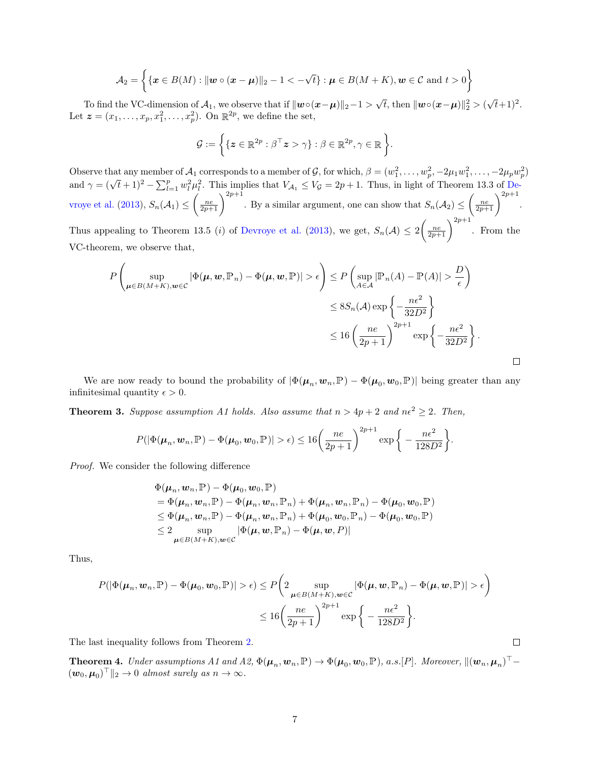$$
\mathcal{A}_2 = \left\{ \{\boldsymbol{x} \in B(M) : \|\boldsymbol{w} \circ (\boldsymbol{x} - \boldsymbol{\mu})\|_2 - 1 < -\sqrt{t} \} : \boldsymbol{\mu} \in B(M + K), \boldsymbol{w} \in \mathcal{C} \text{ and } t > 0 \right\}
$$

To find the VC-dimension of  $\mathcal{A}_1$ , we observe that if  $\|\boldsymbol{w} \circ (\boldsymbol{x} - \boldsymbol{\mu})\|_2 - 1 >$  $\overline{t}$ , then  $\| \boldsymbol{w} \!\circ\! (\boldsymbol{x} \!-\! \boldsymbol{\mu}) \|_2^2 > 0$  $\sqrt{t+1}$ <sup>2</sup>. Let  $\boldsymbol{z} = (x_1, \ldots, x_p, x_1^2, \ldots, x_p^2)$ . On  $\mathbb{R}^{2p}$ , we define the set,

$$
\mathcal{G} := \left\{ \{ \boldsymbol{z} \in \mathbb{R}^{2p} : \beta^\top \boldsymbol{z} > \gamma \} : \beta \in \mathbb{R}^{2p}, \gamma \in \mathbb{R} \right\}.
$$

Observe that any member of  $A_1$  corresponds to a member of  $\mathcal{G}$ , for which,  $\beta = (w_1^2, \dots, w_p^2, -2\mu_1 w_1^2, \dots, -2\mu_p w_p^2)$ <br>and  $\gamma = (\sqrt{t} + 1)^2 - \sum_{l=1}^p w_l^2 \mu_l^2$ . This implies that  $V_{A_1} \le V_{\mathcal{G}} = 2p + 1$ . Thus, in [vroye et al.](#page-9-8) [\(2013\)](#page-9-8),  $S_n(\mathcal{A}_1) \leq \left(\frac{ne}{2p+1}\right)^{2p+1}$ . By a similar argument, one can show that  $S_n(\mathcal{A}_2) \leq \left(\frac{ne}{2p+1}\right)^{2p+1}$ . Thus appealing to Theorem 13.5 (*i*) of [Devroye et al.](#page-9-8) [\(2013\)](#page-9-8), we get,  $S_n(\mathcal{A}) \leq 2 \left( \frac{n e}{2p+1} \right)^{2p+1}$ . From the VC-theorem, we observe that,

$$
P\left(\sup_{\mu \in B(M+K), w \in \mathcal{C}} |\Phi(\mu, w, \mathbb{P}_n) - \Phi(\mu, w, \mathbb{P})| > \epsilon\right) \le P\left(\sup_{A \in \mathcal{A}} |\mathbb{P}_n(A) - \mathbb{P}(A)| > \frac{D}{\epsilon}\right)
$$
  

$$
\le 8S_n(\mathcal{A}) \exp\left\{-\frac{n\epsilon^2}{32D^2}\right\}
$$
  

$$
\le 16\left(\frac{n\epsilon}{2p+1}\right)^{2p+1} \exp\left\{-\frac{n\epsilon^2}{32D^2}\right\}.
$$

We are now ready to bound the probability of  $|\Phi(\mu_n, w_n, \mathbb{P}) - \Phi(\mu_0, w_0, \mathbb{P})|$  being greater than any infinitesimal quantity  $\epsilon > 0$ .

<span id="page-6-0"></span>**Theorem 3.** Suppose assumption A1 holds. Also assume that  $n > 4p + 2$  and  $ne^2 \ge 2$ . Then,

$$
P(|\Phi(\boldsymbol{\mu}_n, \boldsymbol{w}_n, \mathbb{P}) - \Phi(\boldsymbol{\mu}_0, \boldsymbol{w}_0, \mathbb{P})| > \epsilon) \leq 16 \left(\frac{ne}{2p+1}\right)^{2p+1} \exp\bigg\{-\frac{n\epsilon^2}{128D^2}\bigg\}.
$$

Proof. We consider the following difference

$$
\Phi(\boldsymbol{\mu}_n, \boldsymbol{w}_n, \mathbb{P}) - \Phi(\boldsymbol{\mu}_0, \boldsymbol{w}_0, \mathbb{P}) \n= \Phi(\boldsymbol{\mu}_n, \boldsymbol{w}_n, \mathbb{P}) - \Phi(\boldsymbol{\mu}_n, \boldsymbol{w}_n, \mathbb{P}_n) + \Phi(\boldsymbol{\mu}_n, \boldsymbol{w}_n, \mathbb{P}_n) - \Phi(\boldsymbol{\mu}_0, \boldsymbol{w}_0, \mathbb{P}) \n\leq \Phi(\boldsymbol{\mu}_n, \boldsymbol{w}_n, \mathbb{P}) - \Phi(\boldsymbol{\mu}_n, \boldsymbol{w}_n, \mathbb{P}_n) + \Phi(\boldsymbol{\mu}_0, \boldsymbol{w}_0, \mathbb{P}_n) - \Phi(\boldsymbol{\mu}_0, \boldsymbol{w}_0, \mathbb{P}) \n\leq 2 \sup_{\boldsymbol{\mu} \in B(M+K), \boldsymbol{w} \in \mathcal{C}} |\Phi(\boldsymbol{\mu}, \boldsymbol{w}, \mathbb{P}_n) - \Phi(\boldsymbol{\mu}, \boldsymbol{w}, P)|
$$

Thus,

$$
P(|\Phi(\mu_n, w_n, \mathbb{P}) - \Phi(\mu_0, w_0, \mathbb{P})| > \epsilon) \le P\left(2 \sup_{\mu \in B(M+K), w \in \mathcal{C}} |\Phi(\mu, w, \mathbb{P}_n) - \Phi(\mu, w, \mathbb{P})| > \epsilon\right)
$$
  

$$
\le 16\left(\frac{ne}{2p+1}\right)^{2p+1} \exp\left\{-\frac{ne^2}{128D^2}\right\}.
$$

The last inequality follows from Theorem [2.](#page-5-2)

**Theorem 4.** Under assumptions A1 and A2,  $\Phi(\mu_n, w_n, \mathbb{P}) \to \Phi(\mu_0, w_0, \mathbb{P})$ , a.s. [P]. Moreover,  $\|(\boldsymbol{w}_n, \boldsymbol{\mu}_n)^{\top} (\boldsymbol{w}_0, \boldsymbol{\mu}_0)^\top \|_2 \to 0$  almost surely as  $n \to \infty$ .

 $\Box$ 

 $\Box$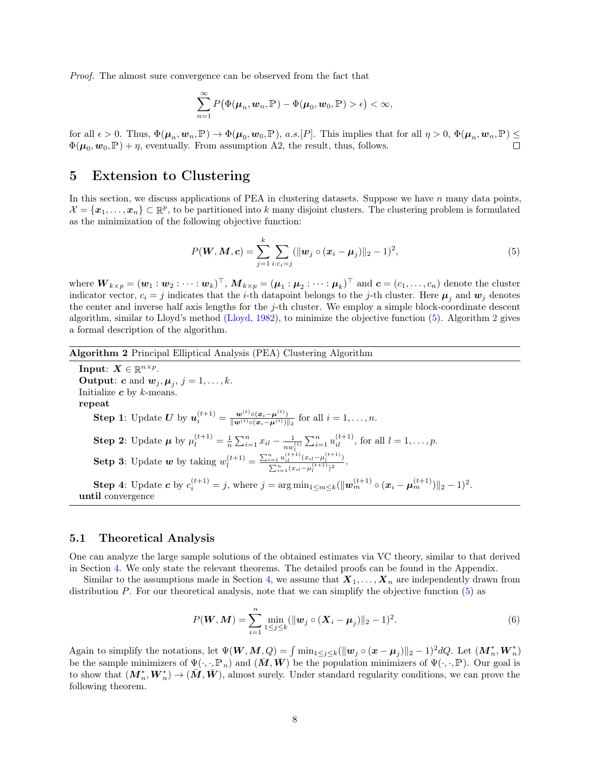Proof. The almost sure convergence can be observed from the fact that

$$
\sum_{n=1}^{\infty} P(\Phi(\boldsymbol{\mu}_n, \boldsymbol{w}_n, \mathbb{P}) - \Phi(\boldsymbol{\mu}_0, \boldsymbol{w}_0, \mathbb{P}) > \epsilon) < \infty,
$$

for all  $\epsilon > 0$ . Thus,  $\Phi(\mu_n, \boldsymbol{w}_n, \mathbb{P}) \to \Phi(\mu_0, \boldsymbol{w}_0, \mathbb{P})$ , a.s. [P]. This implies that for all  $\eta > 0$ ,  $\Phi(\mu_n, \boldsymbol{w}_n, \mathbb{P}) \leq$  $\Phi(\mu_0, w_0, \mathbb{P}) + \eta$ , eventually. From assumption A2, the result, thus, follows.

### 5 Extension to Clustering

In this section, we discuss applications of PEA in clustering datasets. Suppose we have n many data points,  $\mathcal{X} = \{\boldsymbol{x}_1,\ldots,\boldsymbol{x}_n\} \subset \mathbb{R}^p$ , to be partitioned into k many disjoint clusters. The clustering problem is formulated as the minimization of the following objective function:

<span id="page-7-0"></span>
$$
P(\mathbf{W}, \mathbf{M}, \mathbf{c}) = \sum_{j=1}^{k} \sum_{i:c_i=j} (\|\mathbf{w}_j \circ (\mathbf{x}_i - \boldsymbol{\mu}_j)\|_2 - 1)^2,
$$
 (5)

where  $\bm{W}_{k\times p}=(\bm{w}_1:\bm{w}_2:\cdots:\bm{w}_k)^\top,\,\bm{M}_{k\times p}=(\bm{\mu}_1:\bm{\mu}_2:\cdots:\bm{\mu}_k)^\top$  and  $\bm{c}=(c_1,\ldots,c_n)$  denote the cluster indicator vector,  $c_i = j$  indicates that the *i*-th datapoint belongs to the *j*-th cluster. Here  $\mu_i$  and  $w_j$  denotes the center and inverse half axis lengths for the  $j$ -th cluster. We employ a simple block-coordinate descent algorithm, similar to Lloyd's method [\(Lloyd,](#page-10-17) [1982\)](#page-10-17), to minimize the objective function [\(5\)](#page-7-0). Algorithm [2](#page-7-1) gives a formal description of the algorithm.

#### <span id="page-7-1"></span>Algorithm 2 Principal Elliptical Analysis (PEA) Clustering Algorithm

Input:  $X \in \mathbb{R}^{n \times p}$ . **Output: c** and  $w_j, \mu_j, j = 1, \ldots, k$ . Initialize  $c$  by  $k$ -means. repeat **Step 1**: Update U by  $u_i^{(t+1)} = \frac{w^{(t)} \circ (x_i - \mu^{(t)})}{\|\boldsymbol{w}^{(t)} \circ (x_i - \mu^{(t)})\|}$  $\frac{\mathbf{w}^{(t)} \circ (\mathbf{x}_i - \mathbf{\mu}^{(t)})}{\|\mathbf{w}^{(t)} \circ (\mathbf{x}_i - \mathbf{\mu}^{(t)})\|_2}$  for all  $i = 1, \ldots, n$ . **Step 2:** Update  $\mu$  by  $\mu_l^{(t+1)} = \frac{1}{n} \sum_{i=1}^n x_{il} - \frac{1}{nw_l}$  $\frac{1}{n w_l^{(t)}} \sum_{i=1}^n u_{il}^{(t+1)}$ , for all  $l = 1, \ldots, p$ . **Setp 3:** Update w by taking  $w_l^{(t+1)} = \frac{\sum_{i=1}^n u_{il}^{(t+1)} (x_{il} - \mu_l^{(t+1)})}{\sum_{i=1}^n (x_{il} - \mu_l^{(t+1)})^2}$  $\frac{1}{\sum_{i=1}^n(x_{il}-\mu_l^{(t+1)})^2}$ . **Step 4:** Update **c** by  $c_i^{(t+1)} = j$ , where  $j = \arg \min_{1 \le m \le k} (\|\mathbf{w}_m^{(t+1)} \circ (\mathbf{x}_i - \mathbf{\mu}_m^{(t+1)})\|_2 - 1)^2$ . until convergence

#### 5.1 Theoretical Analysis

One can analyze the large sample solutions of the obtained estimates via VC theory, similar to that derived in Section [4.](#page-4-0) We only state the relevant theorems. The detailed proofs can be found in the Appendix.

Similar to the assumptions made in Section [4,](#page-4-0) we assume that  $X_1, \ldots, X_n$  are independently drawn from distribution  $P$ . For our theoretical analysis, note that we can simplify the objective function  $(5)$  as

$$
P(\mathbf{W}, \mathbf{M}) = \sum_{i=1}^{n} \min_{1 \leq j \leq k} (\|\mathbf{w}_{j} \circ (\mathbf{X}_{i} - \boldsymbol{\mu}_{j})\|_{2} - 1)^{2}.
$$
 (6)

Again to simplify the notations, let  $\Psi(W, M, Q) = \int \min_{1 \leq j \leq k} (||\boldsymbol{w}_j \circ (\boldsymbol{x} - \boldsymbol{\mu}_j)||_2 - 1)^2 dQ$ . Let  $(M_n^*, W_n^*)$ be the sample minimizers of  $\Psi(\cdot, \cdot, \mathbb{P}_n)$  and  $(M, W)$  be the population minimizers of  $\Psi(\cdot, \cdot, \mathbb{P})$ . Our goal is to show that  $(M_n^*, W_n^*) \to (\bar{M}, \bar{W})$ , almost surely. Under standard regularity conditions, we can prove the following theorem.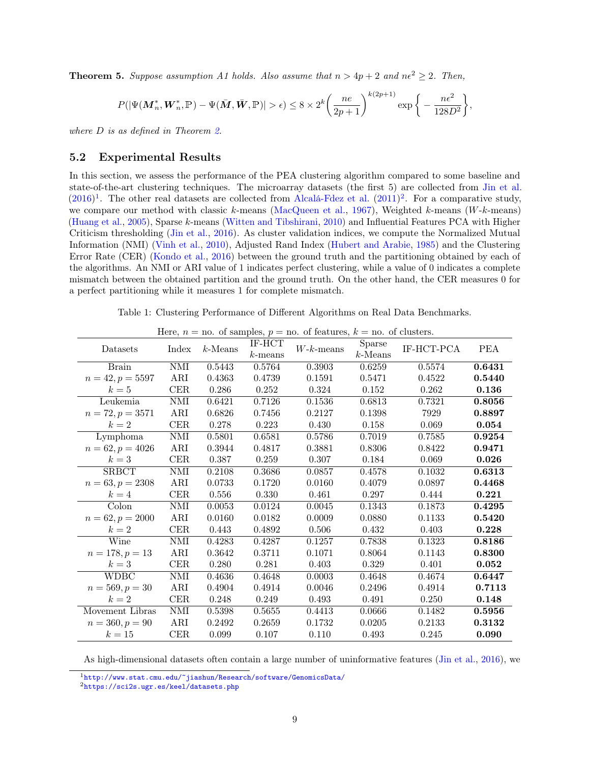**Theorem 5.** Suppose assumption A1 holds. Also assume that  $n > 4p + 2$  and  $ne^2 \ge 2$ . Then,

$$
P(|\Psi(\mathbf{M}^*_n, \mathbf{W}^*_n, \mathbb{P}) - \Psi(\bar{\mathbf{M}}, \bar{\mathbf{W}}, \mathbb{P})| > \epsilon) \leq 8 \times 2^k \bigg( \frac{ne}{2p+1} \bigg)^{k(2p+1)} \exp \bigg\{ - \frac{n\epsilon^2}{128 D^2} \bigg\},
$$

where *D* is as defined in Theorem [2.](#page-5-2)

#### <span id="page-8-0"></span>5.2 Experimental Results

In this section, we assess the performance of the PEA clustering algorithm compared to some baseline and state-of-the-art clustering techniques. The microarray datasets (the first 5) are collected from [Jin et al.](#page-10-16)  $(2016)^1$  $(2016)^1$  $(2016)^1$ . The other real datasets are collected from [Alcalá-Fdez et al.](#page-9-10)  $(2011)^2$  $(2011)^2$  $(2011)^2$ . For a comparative study, we compare our method with classic k-means [\(MacQueen et al.,](#page-10-15) [1967\)](#page-10-15), Weighted k-means (W-k-means) [\(Huang et al.,](#page-10-3) [2005\)](#page-10-3), Sparse k-means [\(Witten and Tibshirani,](#page-11-3) [2010\)](#page-11-3) and Influential Features PCA with Higher Criticism thresholding [\(Jin et al.,](#page-10-16) [2016\)](#page-10-16). As cluster validation indices, we compute the Normalized Mutual Information (NMI) [\(Vinh et al.,](#page-11-10) [2010\)](#page-11-10), Adjusted Rand Index [\(Hubert and Arabie,](#page-10-18) [1985\)](#page-10-18) and the Clustering Error Rate (CER) [\(Kondo et al.,](#page-10-19) [2016\)](#page-10-19) between the ground truth and the partitioning obtained by each of the algorithms. An NMI or ARI value of 1 indicates perfect clustering, while a value of 0 indicates a complete mismatch between the obtained partition and the ground truth. On the other hand, the CER measures 0 for a perfect partitioning while it measures 1 for complete mismatch.

Table 1: Clustering Performance of Different Algorithms on Real Data Benchmarks.

<span id="page-8-3"></span>

| Datasets           | Index      | $k$ -Means | IF-HCT     | $W$ - $k$ -means | $\overline{\text{S}}$ parse |            | <b>PEA</b> |
|--------------------|------------|------------|------------|------------------|-----------------------------|------------|------------|
|                    |            |            | $k$ -means |                  | $k$ -Means                  | IF-HCT-PCA |            |
| <b>Brain</b>       | <b>NMI</b> | 0.5443     | 0.5764     | 0.3903           | 0.6259                      | 0.5574     | 0.6431     |
|                    |            |            |            |                  |                             |            |            |
| $n = 42, p = 5597$ | ARI        | 0.4363     | 0.4739     | 0.1591           | 0.5471                      | 0.4522     | 0.5440     |
| $k=5$              | CER        | 0.286      | 0.252      | 0.324            | 0.152                       | 0.262      | 0.136      |
| Leukemia           | <b>NMI</b> | 0.6421     | 0.7126     | 0.1536           | 0.6813                      | 0.7321     | 0.8056     |
| $n = 72, p = 3571$ | ARI        | 0.6826     | 0.7456     | 0.2127           | 0.1398                      | 7929       | 0.8897     |
| $k=2$              | CER        | 0.278      | 0.223      | 0.430            | 0.158                       | 0.069      | 0.054      |
| Lymphoma           | $\it NMI$  | 0.5801     | 0.6581     | 0.5786           | 0.7019                      | 0.7585     | 0.9254     |
| $n = 62, p = 4026$ | ARI        | 0.3944     | 0.4817     | 0.3881           | 0.8306                      | 0.8422     | 0.9471     |
| $k=3$              | CER        | 0.387      | 0.259      | 0.307            | 0.184                       | 0.069      | 0.026      |
| <b>SRBCT</b>       | $\it NMI$  | 0.2108     | 0.3686     | 0.0857           | 0.4578                      | 0.1032     | 0.6313     |
| $n = 63, p = 2308$ | ARI        | 0.0733     | 0.1720     | 0.0160           | 0.4079                      | 0.0897     | 0.4468     |
| $k=4$              | CER        | 0.556      | 0.330      | 0.461            | 0.297                       | 0.444      | 0.221      |
| Colon              | <b>NMI</b> | 0.0053     | 0.0124     | 0.0045           | 0.1343                      | 0.1873     | 0.4295     |
| $n = 62, p = 2000$ | ARI        | 0.0160     | 0.0182     | 0.0009           | 0.0880                      | 0.1133     | 0.5420     |
| $k=2$              | <b>CER</b> | 0.443      | 0.4892     | 0.506            | 0.432                       | 0.403      | 0.228      |
| Wine               | <b>NMI</b> | 0.4283     | 0.4287     | 0.1257           | 0.7838                      | 0.1323     | 0.8186     |
| $n = 178, p = 13$  | ARI        | 0.3642     | 0.3711     | 0.1071           | 0.8064                      | 0.1143     | 0.8300     |
| $k=3$              | CER        | 0.280      | 0.281      | 0.403            | 0.329                       | 0.401      | 0.052      |
| <b>WDBC</b>        | NMI        | 0.4636     | 0.4648     | 0.0003           | 0.4648                      | 0.4674     | 0.6447     |
| $n = 569, p = 30$  | ARI        | 0.4904     | 0.4914     | 0.0046           | 0.2496                      | 0.4914     | 0.7113     |
| $k=2$              | CER        | 0.248      | 0.249      | 0.493            | 0.491                       | 0.250      | 0.148      |
| Movement Libras    | NMI        | 0.5398     | 0.5655     | 0.4413           | 0.0666                      | 0.1482     | 0.5956     |
| $n = 360, p = 90$  | ARI        | 0.2492     | 0.2659     | 0.1732           | 0.0205                      | 0.2133     | 0.3132     |
| $k=15$             | CER        | 0.099      | 0.107      | 0.110            | 0.493                       | 0.245      | 0.090      |

Here,  $n =$  no. of samples,  $p =$  no. of features,  $k =$  no. of clusters.

As high-dimensional datasets often contain a large number of uninformative features [\(Jin et al.,](#page-10-16) [2016\)](#page-10-16), we

<span id="page-8-1"></span> $1$ <http://www.stat.cmu.edu/~jiashun/Research/software/GenomicsData/>

<span id="page-8-2"></span><sup>2</sup><https://sci2s.ugr.es/keel/datasets.php>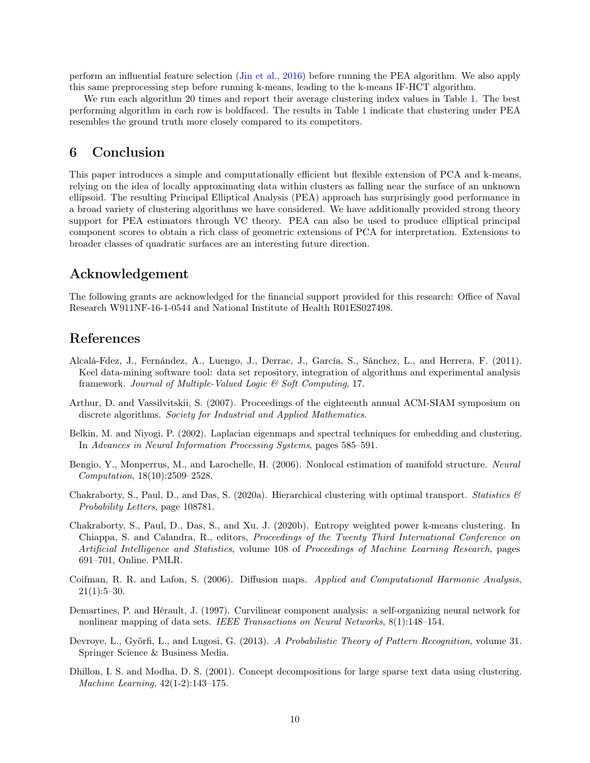perform an influential feature selection [\(Jin et al.,](#page-10-16) [2016\)](#page-10-16) before running the PEA algorithm. We also apply this same preprocessing step before running k-means, leading to the k-means IF-HCT algorithm.

We run each algorithm 20 times and report their average clustering index values in Table [1.](#page-8-3) The best performing algorithm in each row is boldfaced. The results in Table [1](#page-8-3) indicate that clustering under PEA resembles the ground truth more closely compared to its competitors.

### <span id="page-9-9"></span>6 Conclusion

This paper introduces a simple and computationally efficient but flexible extension of PCA and k-means, relying on the idea of locally approximating data within clusters as falling near the surface of an unknown ellipsoid. The resulting Principal Elliptical Analysis (PEA) approach has surprisingly good performance in a broad variety of clustering algorithms we have considered. We have additionally provided strong theory support for PEA estimators through VC theory. PEA can also be used to produce elliptical principal component scores to obtain a rich class of geometric extensions of PCA for interpretation. Extensions to broader classes of quadratic surfaces are an interesting future direction.

### Acknowledgement

The following grants are acknowledged for the financial support provided for this research: Office of Naval Research W911NF-16-1-0544 and National Institute of Health R01ES027498.

### References

- <span id="page-9-10"></span>Alcalá-Fdez, J., Fernández, A., Luengo, J., Derrac, J., García, S., Sánchez, L., and Herrera, F. (2011). Keel data-mining software tool: data set repository, integration of algorithms and experimental analysis framework. Journal of Multiple-Valued Logic & Soft Computing, 17.
- <span id="page-9-1"></span>Arthur, D. and Vassilvitskii, S. (2007). Proceedings of the eighteenth annual ACM-SIAM symposium on discrete algorithms. Society for Industrial and Applied Mathematics.
- <span id="page-9-5"></span>Belkin, M. and Niyogi, P. (2002). Laplacian eigenmaps and spectral techniques for embedding and clustering. In Advances in Neural Information Processing Systems, pages 585–591.
- <span id="page-9-7"></span>Bengio, Y., Monperrus, M., and Larochelle, H. (2006). Nonlocal estimation of manifold structure. Neural Computation, 18(10):2509–2528.
- <span id="page-9-3"></span>Chakraborty, S., Paul, D., and Das, S. (2020a). Hierarchical clustering with optimal transport. *Statistics*  $\mathscr{C}$ Probability Letters, page 108781.
- <span id="page-9-2"></span>Chakraborty, S., Paul, D., Das, S., and Xu, J. (2020b). Entropy weighted power k-means clustering. In Chiappa, S. and Calandra, R., editors, Proceedings of the Twenty Third International Conference on Artificial Intelligence and Statistics, volume 108 of Proceedings of Machine Learning Research, pages 691–701, Online. PMLR.
- <span id="page-9-6"></span>Coifman, R. R. and Lafon, S. (2006). Diffusion maps. Applied and Computational Harmonic Analysis,  $21(1):5-30.$
- <span id="page-9-4"></span>Demartines, P. and Hérault, J. (1997). Curvilinear component analysis: a self-organizing neural network for nonlinear mapping of data sets. IEEE Transactions on Neural Networks, 8(1):148–154.
- <span id="page-9-8"></span>Devroye, L., Györfi, L., and Lugosi, G. (2013). A Probabilistic Theory of Pattern Recognition, volume 31. Springer Science & Business Media.
- <span id="page-9-0"></span>Dhillon, I. S. and Modha, D. S. (2001). Concept decompositions for large sparse text data using clustering. Machine Learning, 42(1-2):143–175.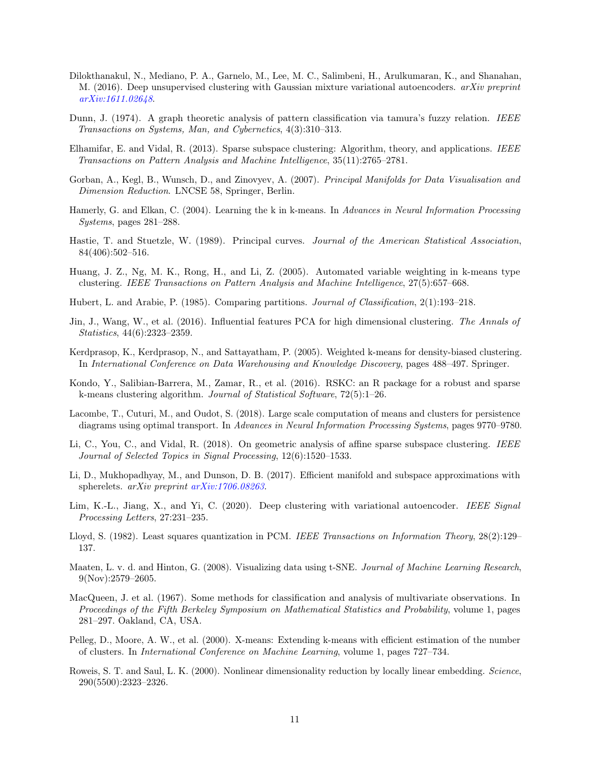- <span id="page-10-0"></span>Dilokthanakul, N., Mediano, P. A., Garnelo, M., Lee, M. C., Salimbeni, H., Arulkumaran, K., and Shanahan, M. (2016). Deep unsupervised clustering with Gaussian mixture variational autoencoders. *arXiv preprint* [arXiv:1611.02648](http://arxiv.org/abs/1611.02648).
- <span id="page-10-4"></span>Dunn, J. (1974). A graph theoretic analysis of pattern classification via tamura's fuzzy relation. IEEE Transactions on Systems, Man, and Cybernetics, 4(3):310–313.
- <span id="page-10-8"></span>Elhamifar, E. and Vidal, R. (2013). Sparse subspace clustering: Algorithm, theory, and applications. IEEE Transactions on Pattern Analysis and Machine Intelligence, 35(11):2765–2781.
- <span id="page-10-12"></span>Gorban, A., Kegl, B., Wunsch, D., and Zinovyev, A. (2007). Principal Manifolds for Data Visualisation and Dimension Reduction. LNCSE 58, Springer, Berlin.
- <span id="page-10-6"></span>Hamerly, G. and Elkan, C. (2004). Learning the k in k-means. In Advances in Neural Information Processing Systems, pages 281–288.
- <span id="page-10-11"></span>Hastie, T. and Stuetzle, W. (1989). Principal curves. Journal of the American Statistical Association, 84(406):502–516.
- <span id="page-10-3"></span>Huang, J. Z., Ng, M. K., Rong, H., and Li, Z. (2005). Automated variable weighting in k-means type clustering. IEEE Transactions on Pattern Analysis and Machine Intelligence, 27(5):657–668.
- <span id="page-10-18"></span>Hubert, L. and Arabie, P. (1985). Comparing partitions. Journal of Classification, 2(1):193–218.
- <span id="page-10-16"></span>Jin, J., Wang, W., et al. (2016). Influential features PCA for high dimensional clustering. The Annals of Statistics, 44(6):2323–2359.
- <span id="page-10-2"></span>Kerdprasop, K., Kerdprasop, N., and Sattayatham, P. (2005). Weighted k-means for density-biased clustering. In International Conference on Data Warehousing and Knowledge Discovery, pages 488–497. Springer.
- <span id="page-10-19"></span>Kondo, Y., Salibian-Barrera, M., Zamar, R., et al. (2016). RSKC: an R package for a robust and sparse k-means clustering algorithm. Journal of Statistical Software, 72(5):1–26.
- <span id="page-10-7"></span>Lacombe, T., Cuturi, M., and Oudot, S. (2018). Large scale computation of means and clusters for persistence diagrams using optimal transport. In Advances in Neural Information Processing Systems, pages 9770–9780.
- <span id="page-10-9"></span>Li, C., You, C., and Vidal, R. (2018). On geometric analysis of affine sparse subspace clustering. IEEE Journal of Selected Topics in Signal Processing, 12(6):1520–1533.
- <span id="page-10-10"></span>Li, D., Mukhopadhyay, M., and Dunson, D. B. (2017). Efficient manifold and subspace approximations with spherelets. arXiv preprint [arXiv:1706.08263](http://arxiv.org/abs/1706.08263).
- <span id="page-10-1"></span>Lim, K.-L., Jiang, X., and Yi, C. (2020). Deep clustering with variational autoencoder. IEEE Signal Processing Letters, 27:231–235.
- <span id="page-10-17"></span>Lloyd, S. (1982). Least squares quantization in PCM. IEEE Transactions on Information Theory, 28(2):129– 137.
- <span id="page-10-13"></span>Maaten, L. v. d. and Hinton, G. (2008). Visualizing data using t-SNE. Journal of Machine Learning Research, 9(Nov):2579–2605.
- <span id="page-10-15"></span>MacQueen, J. et al. (1967). Some methods for classification and analysis of multivariate observations. In Proceedings of the Fifth Berkeley Symposium on Mathematical Statistics and Probability, volume 1, pages 281–297. Oakland, CA, USA.
- <span id="page-10-5"></span>Pelleg, D., Moore, A. W., et al. (2000). X-means: Extending k-means with efficient estimation of the number of clusters. In International Conference on Machine Learning, volume 1, pages 727–734.
- <span id="page-10-14"></span>Roweis, S. T. and Saul, L. K. (2000). Nonlinear dimensionality reduction by locally linear embedding. Science, 290(5500):2323–2326.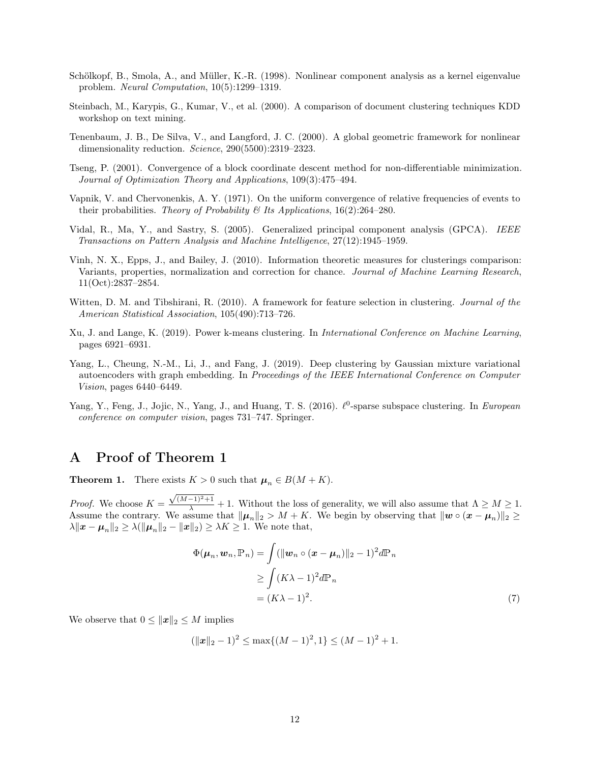- <span id="page-11-6"></span>Schölkopf, B., Smola, A., and Müller, K.-R. (1998). Nonlinear component analysis as a kernel eigenvalue problem. Neural Computation, 10(5):1299–1319.
- <span id="page-11-1"></span>Steinbach, M., Karypis, G., Kumar, V., et al. (2000). A comparison of document clustering techniques KDD workshop on text mining.
- <span id="page-11-7"></span>Tenenbaum, J. B., De Silva, V., and Langford, J. C. (2000). A global geometric framework for nonlinear dimensionality reduction. Science, 290(5500):2319-2323.
- <span id="page-11-8"></span>Tseng, P. (2001). Convergence of a block coordinate descent method for non-differentiable minimization. Journal of Optimization Theory and Applications, 109(3):475–494.
- <span id="page-11-9"></span>Vapnik, V. and Chervonenkis, A. Y. (1971). On the uniform convergence of relative frequencies of events to their probabilities. Theory of Probability & Its Applications,  $16(2):264-280$ .
- <span id="page-11-5"></span>Vidal, R., Ma, Y., and Sastry, S. (2005). Generalized principal component analysis (GPCA). IEEE Transactions on Pattern Analysis and Machine Intelligence, 27(12):1945–1959.
- <span id="page-11-10"></span>Vinh, N. X., Epps, J., and Bailey, J. (2010). Information theoretic measures for clusterings comparison: Variants, properties, normalization and correction for chance. Journal of Machine Learning Research. 11(Oct):2837–2854.
- <span id="page-11-3"></span>Witten, D. M. and Tibshirani, R. (2010). A framework for feature selection in clustering. Journal of the American Statistical Association, 105(490):713–726.
- <span id="page-11-2"></span>Xu, J. and Lange, K. (2019). Power k-means clustering. In International Conference on Machine Learning, pages 6921–6931.
- <span id="page-11-0"></span>Yang, L., Cheung, N.-M., Li, J., and Fang, J. (2019). Deep clustering by Gaussian mixture variational autoencoders with graph embedding. In Proceedings of the IEEE International Conference on Computer Vision, pages 6440–6449.
- <span id="page-11-4"></span>Yang, Y., Feng, J., Jojic, N., Yang, J., and Huang, T. S. (2016).  $\ell^0$ -sparse subspace clustering. In European conference on computer vision, pages 731–747. Springer.

# A Proof of Theorem 1

**Theorem 1.** There exists  $K > 0$  such that  $\mu_n \in B(M + K)$ .

*Proof.* We choose  $K =$  $\frac{\sqrt{(M-1)^2+1}}{\lambda}$  + 1. Without the loss of generality, we will also assume that  $\Lambda \geq M \geq 1$ . Assume the contrary. We assume that  $\|\mu_n\|_2 > M + K$ . We begin by observing that  $\|w \circ (x - \mu_n)\|_2 \geq$  $\lambda \|x - \mu_n\|_2 \ge \lambda (\|\mu_n\|_2 - \|x\|_2) \ge \lambda K \ge 1$ . We note that,

<span id="page-11-11"></span>
$$
\Phi(\boldsymbol{\mu}_n, \boldsymbol{w}_n, \mathbb{P}_n) = \int (\|\boldsymbol{w}_n \circ (\boldsymbol{x} - \boldsymbol{\mu}_n)\|_2 - 1)^2 d\mathbb{P}_n
$$
  
\n
$$
\geq \int (K\lambda - 1)^2 d\mathbb{P}_n
$$
  
\n
$$
= (K\lambda - 1)^2.
$$
 (7)

We observe that  $0 \le ||x||_2 \le M$  implies

$$
(\|\boldsymbol{x}\|_2 - 1)^2 \le \max\{(M-1)^2, 1\} \le (M-1)^2 + 1.
$$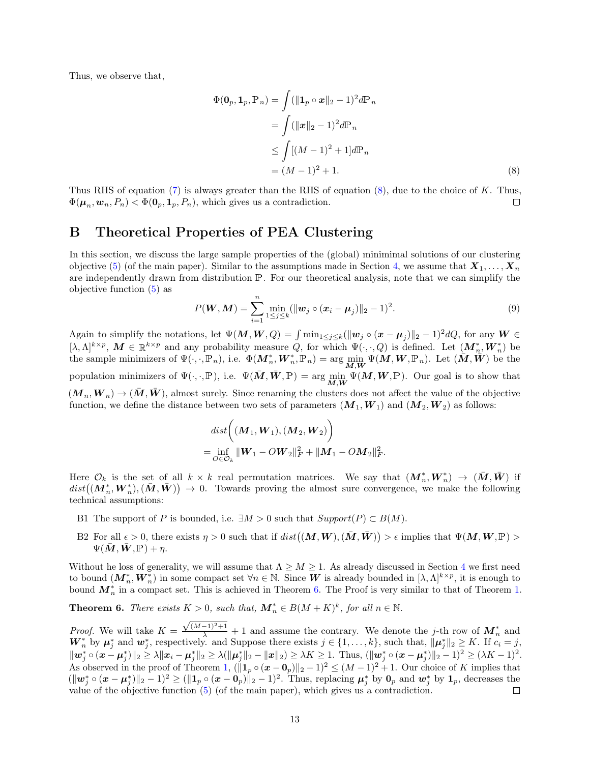Thus, we observe that,

<span id="page-12-0"></span>
$$
\Phi(\mathbf{0}_p, \mathbf{1}_p, \mathbb{P}_n) = \int (\|\mathbf{1}_p \circ \mathbf{x}\|_2 - 1)^2 d\mathbb{P}_n
$$
  
\n
$$
= \int (\|\mathbf{x}\|_2 - 1)^2 d\mathbb{P}_n
$$
  
\n
$$
\leq \int [(M-1)^2 + 1] d\mathbb{P}_n
$$
  
\n
$$
= (M-1)^2 + 1.
$$
 (8)

Thus RHS of equation  $(7)$  is always greater than the RHS of equation  $(8)$ , due to the choice of K. Thus,  $\Phi(\mu_n, \boldsymbol{w}_n, P_n) < \Phi(\boldsymbol{0}_p, \boldsymbol{1}_p, P_n)$ , which gives us a contradiction.  $\Box$ 

### B Theoretical Properties of PEA Clustering

In this section, we discuss the large sample properties of the (global) minimimal solutions of our clustering objective (5) (of the main paper). Similar to the assumptions made in Section 4, we assume that  $X_1, \ldots, X_n$ are independently drawn from distribution P. For our theoretical analysis, note that we can simplify the objective function (5) as

$$
P(\mathbf{W}, \mathbf{M}) = \sum_{i=1}^{n} \min_{1 \leq j \leq k} (\|\mathbf{w}_{j} \circ (\mathbf{x}_{i} - \mathbf{\mu}_{j})\|_{2} - 1)^{2}.
$$
 (9)

Again to simplify the notations, let  $\Psi(M, W, Q) = \int \min_{1 \leq j \leq k} (||\mathbf{w}_j \circ (\mathbf{x} - \boldsymbol{\mu}_j)||_2 - 1)^2 dQ$ , for any  $W \in$  $[\lambda, \Lambda]^{k \times p}, M \in \mathbb{R}^{k \times p}$  and any probability measure Q, for which  $\Psi(\cdot, \cdot, Q)$  is defined. Let  $(M_n^*, W_n^*)$  be the sample minimizers of  $\Psi(\cdot, \cdot, \mathbb{P}_n)$ , i.e.  $\Phi(M_n^*, W_n^*, \mathbb{P}_n) = \arg \min_{\mathbf{M}, \mathbf{W}} \Psi(\mathbf{M}, \mathbf{W}, \mathbb{P}_n)$ . Let  $(\mathbf{M}, \mathbf{W})$  be the population minimizers of  $\Psi(\cdot, \cdot, \mathbb{P})$ , i.e.  $\Psi(\overline{M}, \overline{W}, \mathbb{P}) = \arg \min_{M, \overline{W}} \Psi(M, W, \mathbb{P})$ . Our goal is to show that  $(M_n, W_n) \to (M, W)$ , almost surely. Since renaming the clusters does not affect the value of the objective function, we define the distance between two sets of parameters  $(M_1, W_1)$  and  $(M_2, W_2)$  as follows:

$$
dist((\bm{M}_1, \bm{W}_1), (\bm{M}_2, \bm{W}_2))
$$
  
= 
$$
\inf_{\bm{O} \in \mathcal{O}_k} ||\bm{W}_1 - O\bm{W}_2||_F^2 + ||\bm{M}_1 - O\bm{M}_2||_F^2.
$$

Here  $\mathcal{O}_k$  is the set of all  $k \times k$  real permutation matrices. We say that  $(\mathbf{M}_n^*, \mathbf{W}_n^*) \to (\bar{\mathbf{M}}, \bar{\mathbf{W}})$  if  $dist((\mathbf{M}_n^*,\mathbf{W}_n^*),(\bar{\mathbf{M}},\bar{\mathbf{W}})) \to 0.$  Towards proving the almost sure convergence, we make the following technical assumptions:

- B1 The support of P is bounded, i.e.  $\exists M > 0$  such that  $Support(P) \subset B(M)$ .
- B2 For all  $\epsilon > 0$ , there exists  $\eta > 0$  such that if  $dist((M, W), (\bar{M}, \bar{W})) > \epsilon$  implies that  $\Psi(M, W, \mathbb{P}) >$  $\Psi(\bar{\mathbf{M}}, \bar{\mathbf{W}}, \mathbb{P}) + \eta.$

Without he loss of generality, we will assume that  $\Lambda \geq M \geq 1$ . As already discussed in Section 4 we first need to bound  $(\boldsymbol{M}_n^*, \boldsymbol{W}_n^*)$  in some compact set  $\forall n \in \mathbb{N}$ . Since  $\boldsymbol{W}$  is already bounded in  $[\lambda, \Lambda]^{k \times p}$ , it is enough to bound  $M_n^*$  in a compact set. This is achieved in Theorem [6.](#page-12-1) The Proof is very similar to that of Theorem [1.](#page-5-1)

<span id="page-12-1"></span>**Theorem 6.** There exists  $K > 0$ , such that,  $M_n^* \in B(M+K)^k$ , for all  $n \in \mathbb{N}$ .

 $\frac{\sqrt{(M-1)^2+1}}{\lambda}+1$  and assume the contrary. We denote the j-th row of  $M_n^*$  and *Proof.* We will take  $K =$  $\mathbf{W}_{n}^{*}$  by  $\mu_{j}^{*}$  and  $\mathbf{w}_{j}^{*}$ , respectively. and Suppose there exists  $j \in \{1, \ldots, k\}$ , such that,  $\|\mu_{j}^{*}\|_{2} \geq K$ . If  $c_{i} = j$ ,  $\|{\bm{w}}_j^*\circ({\bm{x}}-{\bm{\mu}}_j^*)\|_2\ge \lambda \|{\bm{x}}_i-{\bm{\mu}}_j^*\|_2\ge \lambda(\|{\bm{\mu}}_j^*\|_2-\|{\bm{x}}\|_2)\ge \lambda K\ge 1. \ \ \text{Thus, } (\|{\bm{w}}_j^*\circ({\bm{x}}-{\bm{\mu}}_j^*)\|_2-1)^2\ge (\lambda K-1)^2.$ As observed in the proof of Theorem [1,](#page-5-1)  $(\|\mathbf{1}_p \circ (\mathbf{x}-\mathbf{0}_p)\|_2 - 1)^2 \leq (M-1)^2 + 1$ . Our choice of K implies that  $(\|\boldsymbol{w}_j^*\circ(\boldsymbol{x}-\boldsymbol{\mu}_j^*)\|_2-1)^2 \geq (\|\boldsymbol{1}_p\circ(\boldsymbol{x}-\boldsymbol{0}_p)\|_2-1)^2$ . Thus, replacing  $\boldsymbol{\mu}_j^*$  by  $\boldsymbol{0}_p$  and  $\boldsymbol{w}_j^*$  by  $\boldsymbol{1}_p$ , decreases the value of the objective function (5) (of the main paper), which gives us a contradiction.  $\Box$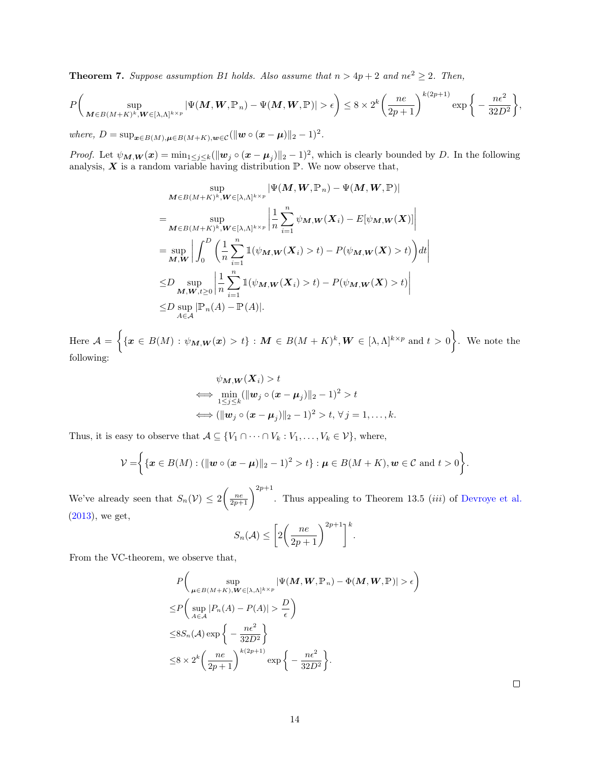<span id="page-13-0"></span>**Theorem 7.** Suppose assumption B1 holds. Also assume that  $n > 4p + 2$  and  $n\epsilon^2 \geq 2$ . Then,

$$
P\bigg(\sup_{\mathbf{M}\in B(M+K)^k,\mathbf{W}\in[\lambda,\Lambda]^{k\times p}}|\Psi(\mathbf{M},\mathbf{W},\mathbb{P}_n)-\Psi(\mathbf{M},\mathbf{W},\mathbb{P})|>\epsilon\bigg)\leq 8\times 2^k\bigg(\frac{ne}{2p+1}\bigg)^{k(2p+1)}\exp\bigg\{-\frac{n\epsilon^2}{32D^2}\bigg\},\,
$$

where,  $D = \sup_{\boldsymbol{x} \in B(M), \boldsymbol{\mu} \in B(M+K), \boldsymbol{w} \in \mathcal{C}} (\|\boldsymbol{w} \circ (\boldsymbol{x} - \boldsymbol{\mu})\|_2 - 1)^2$ .

*Proof.* Let  $\psi_{\mathbf{M},\mathbf{W}}(\mathbf{x}) = \min_{1 \leq j \leq k} (\|\mathbf{w}_j \circ (\mathbf{x} - \boldsymbol{\mu}_j)\|_2 - 1)^2$ , which is clearly bounded by D. In the following analysis,  $X$  is a random variable having distribution  $\mathbb{P}$ . We now observe that,

$$
\sup_{\mathbf{M}\in B(M+K)^k, \mathbf{W}\in[\lambda,\Lambda]^{k\times p}} |\Psi(\mathbf{M},\mathbf{W},\mathbb{P}_n) - \Psi(\mathbf{M},\mathbf{W},\mathbb{P})|
$$
\n
$$
= \sup_{\mathbf{M}\in B(M+K)^k, \mathbf{W}\in[\lambda,\Lambda]^{k\times p}} \left| \frac{1}{n} \sum_{i=1}^n \psi_{\mathbf{M},\mathbf{W}}(\mathbf{X}_i) - E[\psi_{\mathbf{M},\mathbf{W}}(\mathbf{X})] \right|
$$
\n
$$
= \sup_{\mathbf{M},\mathbf{W}} \left| \int_0^D \left( \frac{1}{n} \sum_{i=1}^n \mathbb{1}(\psi_{\mathbf{M},\mathbf{W}}(\mathbf{X}_i) > t) - P(\psi_{\mathbf{M},\mathbf{W}}(\mathbf{X}) > t) \right) dt \right|
$$
\n
$$
\leq D \sup_{\mathbf{M},\mathbf{W},t\geq 0} \left| \frac{1}{n} \sum_{i=1}^n \mathbb{1}(\psi_{\mathbf{M},\mathbf{W}}(\mathbf{X}_i) > t) - P(\psi_{\mathbf{M},\mathbf{W}}(\mathbf{X}) > t) \right|
$$
\n
$$
\leq D \sup_{\mathbf{A}\in\mathcal{A}} |\mathbb{P}_n(A) - \mathbb{P}(A)|.
$$

Here  $\mathcal{A} = \Big\{ \{ \boldsymbol{x} \in B(M) : \psi_{\boldsymbol{M},\boldsymbol{W}}(\boldsymbol{x}) > t \} : \boldsymbol{M} \in B(M+K)^k, \boldsymbol{W} \in [\lambda,\Lambda]^{k \times p} \text{ and } t > 0 \Big\}.$  We note the following:

$$
\psi_{\mathbf{M},\mathbf{W}}(\mathbf{X}_i) > t
$$
  
\n
$$
\iff \min_{1 \leq j \leq k} (\|\mathbf{w}_j \circ (\mathbf{x} - \mathbf{\mu}_j)\|_2 - 1)^2 > t
$$
  
\n
$$
\iff (\|\mathbf{w}_j \circ (\mathbf{x} - \mathbf{\mu}_j)\|_2 - 1)^2 > t, \forall j = 1, ..., k.
$$

Thus, it is easy to observe that  $A \subseteq \{V_1 \cap \cdots \cap V_k : V_1, \ldots, V_k \in \mathcal{V}\}$ , where,

$$
\mathcal{V} = \left\{ \{ \boldsymbol{x} \in B(M) : (\|\boldsymbol{w} \circ (\boldsymbol{x} - \boldsymbol{\mu})\|_2 - 1)^2 > t \} : \boldsymbol{\mu} \in B(M + K), \boldsymbol{w} \in \mathcal{C} \text{ and } t > 0 \right\}.
$$

We've already seen that  $S_n(\mathcal{V}) \leq 2 \left( \frac{n e}{2p+1} \right)^{2p+1}$ . Thus appealing to Theorem 13.5 *(iii)* of [Devroye et al.](#page-9-8) [\(2013\)](#page-9-8), we get,

$$
S_n(\mathcal{A}) \le \left[2\left(\frac{ne}{2p+1}\right)^{2p+1}\right]^k.
$$

From the VC-theorem, we observe that,

$$
P\left(\sup_{\mu \in B(M+K), W \in [\lambda, \Lambda]^{k \times p}} |\Psi(M, W, \mathbb{P}_n) - \Phi(M, W, \mathbb{P})| > \epsilon\right)
$$
  
\n
$$
\leq P\left(\sup_{A \in \mathcal{A}} |P_n(A) - P(A)| > \frac{D}{\epsilon}\right)
$$
  
\n
$$
\leq 8S_n(\mathcal{A}) \exp\left\{-\frac{n\epsilon^2}{32D^2}\right\}
$$
  
\n
$$
\leq 8 \times 2^k \left(\frac{n e}{2p+1}\right)^{k(2p+1)} \exp\left\{-\frac{n\epsilon^2}{32D^2}\right\}.
$$

 $\Box$